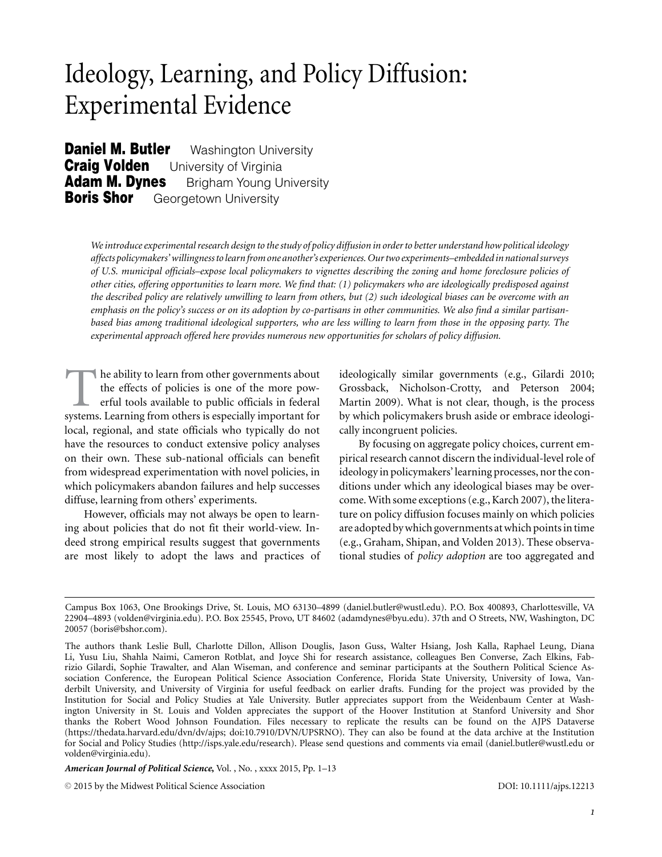# Ideology, Learning, and Policy Diffusion: Experimental Evidence

**Daniel M. Butler** Washington University **Craig Volden** University of Virginia<br>**Adam M. Dynes** Brigham Young U **Brigham Young University Boris Shor** Georgetown University

*We introduce experimental research design to the study of policy diffusion in order to better understand how political ideology affects policymakers' willingnessto learnfrom one another's experiences. Ourtwo experiments–embeddedin national surveys of U.S. municipal officials–expose local policymakers to vignettes describing the zoning and home foreclosure policies of other cities, offering opportunities to learn more. We find that: (1) policymakers who are ideologically predisposed against the described policy are relatively unwilling to learn from others, but (2) such ideological biases can be overcome with an emphasis on the policy's success or on its adoption by co-partisans in other communities. We also find a similar partisanbased bias among traditional ideological supporters, who are less willing to learn from those in the opposing party. The experimental approach offered here provides numerous new opportunities for scholars of policy diffusion.*

The ability to learn from other governments about the effects of policies is one of the more powerful tools available to public officials in federal systems. Learning from others is especially important for local, regional, and state officials who typically do not have the resources to conduct extensive policy analyses on their own. These sub-national officials can benefit from widespread experimentation with novel policies, in which policymakers abandon failures and help successes diffuse, learning from others' experiments.

However, officials may not always be open to learning about policies that do not fit their world-view. Indeed strong empirical results suggest that governments are most likely to adopt the laws and practices of ideologically similar governments (e.g., Gilardi 2010; Grossback, Nicholson-Crotty, and Peterson 2004; Martin 2009). What is not clear, though, is the process by which policymakers brush aside or embrace ideologically incongruent policies.

By focusing on aggregate policy choices, current empirical research cannot discern the individual-level role of ideology in policymakers' learning processes, nor the conditions under which any ideological biases may be overcome. With some exceptions (e.g., Karch 2007), the literature on policy diffusion focuses mainly on which policies are adopted by which governments atwhich points in time (e.g., Graham, Shipan, and Volden 2013). These observational studies of *policy adoption* are too aggregated and

*American Journal of Political Science***,** Vol. , No. , xxxx 2015, Pp. 1–13

Campus Box 1063, One Brookings Drive, St. Louis, MO 63130–4899 (daniel.butler@wustl.edu). P.O. Box 400893, Charlottesville, VA 22904–4893 (volden@virginia.edu). P.O. Box 25545, Provo, UT 84602 (adamdynes@byu.edu). 37th and O Streets, NW, Washington, DC 20057 (boris@bshor.com).

The authors thank Leslie Bull, Charlotte Dillon, Allison Douglis, Jason Guss, Walter Hsiang, Josh Kalla, Raphael Leung, Diana Li, Yusu Liu, Shahla Naimi, Cameron Rotblat, and Joyce Shi for research assistance, colleagues Ben Converse, Zach Elkins, Fabrizio Gilardi, Sophie Trawalter, and Alan Wiseman, and conference and seminar participants at the Southern Political Science Association Conference, the European Political Science Association Conference, Florida State University, University of Iowa, Vanderbilt University, and University of Virginia for useful feedback on earlier drafts. Funding for the project was provided by the Institution for Social and Policy Studies at Yale University. Butler appreciates support from the Weidenbaum Center at Washington University in St. Louis and Volden appreciates the support of the Hoover Institution at Stanford University and Shor thanks the Robert Wood Johnson Foundation. Files necessary to replicate the results can be found on the AJPS Dataverse (https://thedata.harvard.edu/dvn/dv/ajps; doi:10.7910/DVN/UPSRNO). They can also be found at the data archive at the Institution for Social and Policy Studies (http://isps.yale.edu/research). Please send questions and comments via email (daniel.butler@wustl.edu or volden@virginia.edu).

<sup>-</sup><sup>C</sup> 2015 by the Midwest Political Science Association DOI: 10.1111/ajps.12213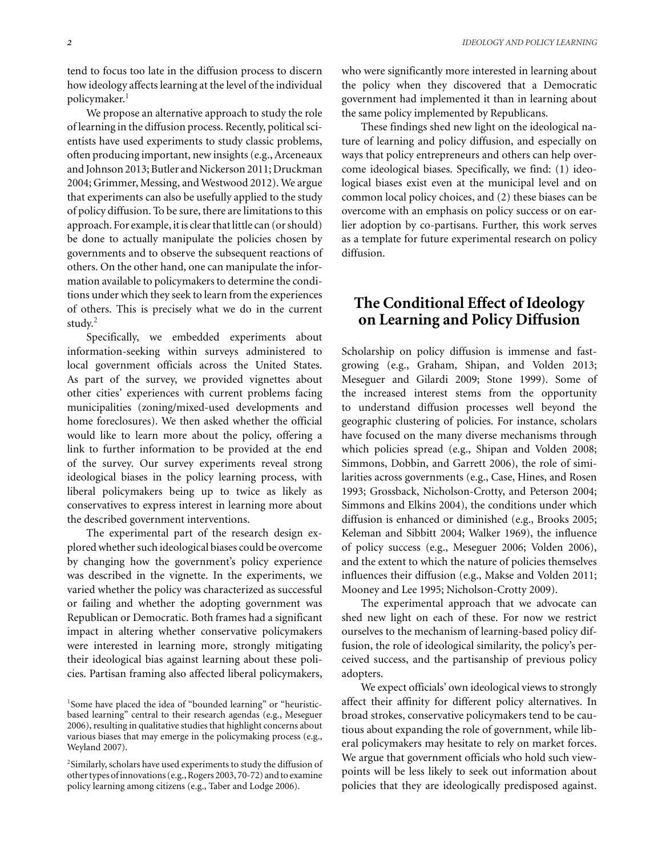tend to focus too late in the diffusion process to discern how ideology affects learning at the level of the individual policymaker.<sup>1</sup>

We propose an alternative approach to study the role of learning in the diffusion process. Recently, political scientists have used experiments to study classic problems, often producing important, new insights (e.g., Arceneaux and Johnson 2013; Butler and Nickerson 2011; Druckman 2004; Grimmer, Messing, and Westwood 2012). We argue that experiments can also be usefully applied to the study of policy diffusion. To be sure, there are limitations to this approach. For example, it is clear that little can (or should) be done to actually manipulate the policies chosen by governments and to observe the subsequent reactions of others. On the other hand, one can manipulate the information available to policymakers to determine the conditions under which they seek to learn from the experiences of others. This is precisely what we do in the current study. $^{2}$ 

Specifically, we embedded experiments about information-seeking within surveys administered to local government officials across the United States. As part of the survey, we provided vignettes about other cities' experiences with current problems facing municipalities (zoning/mixed-used developments and home foreclosures). We then asked whether the official would like to learn more about the policy, offering a link to further information to be provided at the end of the survey. Our survey experiments reveal strong ideological biases in the policy learning process, with liberal policymakers being up to twice as likely as conservatives to express interest in learning more about the described government interventions.

The experimental part of the research design explored whether such ideological biases could be overcome by changing how the government's policy experience was described in the vignette. In the experiments, we varied whether the policy was characterized as successful or failing and whether the adopting government was Republican or Democratic. Both frames had a significant impact in altering whether conservative policymakers were interested in learning more, strongly mitigating their ideological bias against learning about these policies. Partisan framing also affected liberal policymakers,

who were significantly more interested in learning about the policy when they discovered that a Democratic government had implemented it than in learning about the same policy implemented by Republicans.

These findings shed new light on the ideological nature of learning and policy diffusion, and especially on ways that policy entrepreneurs and others can help overcome ideological biases. Specifically, we find: (1) ideological biases exist even at the municipal level and on common local policy choices, and (2) these biases can be overcome with an emphasis on policy success or on earlier adoption by co-partisans. Further, this work serves as a template for future experimental research on policy diffusion.

### **The Conditional Effect of Ideology on Learning and Policy Diffusion**

Scholarship on policy diffusion is immense and fastgrowing (e.g., Graham, Shipan, and Volden 2013; Meseguer and Gilardi 2009; Stone 1999). Some of the increased interest stems from the opportunity to understand diffusion processes well beyond the geographic clustering of policies. For instance, scholars have focused on the many diverse mechanisms through which policies spread (e.g., Shipan and Volden 2008; Simmons, Dobbin, and Garrett 2006), the role of similarities across governments (e.g., Case, Hines, and Rosen 1993; Grossback, Nicholson-Crotty, and Peterson 2004; Simmons and Elkins 2004), the conditions under which diffusion is enhanced or diminished (e.g., Brooks 2005; Keleman and Sibbitt 2004; Walker 1969), the influence of policy success (e.g., Meseguer 2006; Volden 2006), and the extent to which the nature of policies themselves influences their diffusion (e.g., Makse and Volden 2011; Mooney and Lee 1995; Nicholson-Crotty 2009).

The experimental approach that we advocate can shed new light on each of these. For now we restrict ourselves to the mechanism of learning-based policy diffusion, the role of ideological similarity, the policy's perceived success, and the partisanship of previous policy adopters.

We expect officials' own ideological views to strongly affect their affinity for different policy alternatives. In broad strokes, conservative policymakers tend to be cautious about expanding the role of government, while liberal policymakers may hesitate to rely on market forces. We argue that government officials who hold such viewpoints will be less likely to seek out information about policies that they are ideologically predisposed against.

<sup>&</sup>lt;sup>1</sup>Some have placed the idea of "bounded learning" or "heuristicbased learning" central to their research agendas (e.g., Meseguer 2006), resulting in qualitative studies that highlight concerns about various biases that may emerge in the policymaking process (e.g., Weyland 2007).

<sup>&</sup>lt;sup>2</sup>Similarly, scholars have used experiments to study the diffusion of other types of innovations (e.g., Rogers 2003, 70-72) and to examine policy learning among citizens (e.g., Taber and Lodge 2006).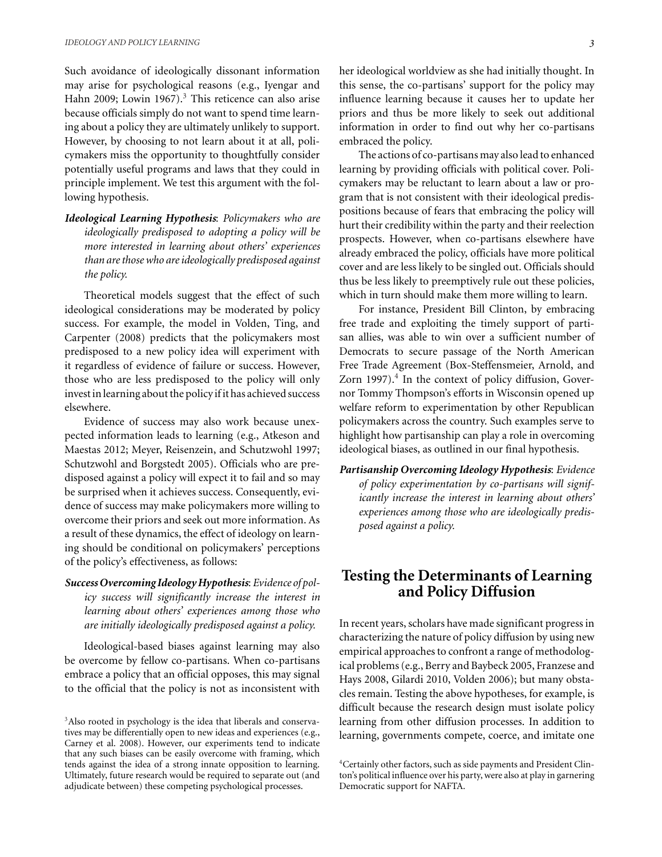Such avoidance of ideologically dissonant information may arise for psychological reasons (e.g., Iyengar and Hahn 2009; Lowin 1967). $3$  This reticence can also arise because officials simply do not want to spend time learning about a policy they are ultimately unlikely to support. However, by choosing to not learn about it at all, policymakers miss the opportunity to thoughtfully consider potentially useful programs and laws that they could in principle implement. We test this argument with the following hypothesis.

*Ideological Learning Hypothesis*: *Policymakers who are ideologically predisposed to adopting a policy will be more interested in learning about others' experiences than are those who are ideologically predisposed against the policy.*

Theoretical models suggest that the effect of such ideological considerations may be moderated by policy success. For example, the model in Volden, Ting, and Carpenter (2008) predicts that the policymakers most predisposed to a new policy idea will experiment with it regardless of evidence of failure or success. However, those who are less predisposed to the policy will only invest in learning about the policy if it has achieved success elsewhere.

Evidence of success may also work because unexpected information leads to learning (e.g., Atkeson and Maestas 2012; Meyer, Reisenzein, and Schutzwohl 1997; Schutzwohl and Borgstedt 2005). Officials who are predisposed against a policy will expect it to fail and so may be surprised when it achieves success. Consequently, evidence of success may make policymakers more willing to overcome their priors and seek out more information. As a result of these dynamics, the effect of ideology on learning should be conditional on policymakers' perceptions of the policy's effectiveness, as follows:

#### *Success Overcoming Ideology Hypothesis*: *Evidence of policy success will significantly increase the interest in learning about others' experiences among those who are initially ideologically predisposed against a policy.*

Ideological-based biases against learning may also be overcome by fellow co-partisans. When co-partisans embrace a policy that an official opposes, this may signal to the official that the policy is not as inconsistent with

her ideological worldview as she had initially thought. In this sense, the co-partisans' support for the policy may influence learning because it causes her to update her priors and thus be more likely to seek out additional information in order to find out why her co-partisans embraced the policy.

The actions of co-partisans may also lead to enhanced learning by providing officials with political cover. Policymakers may be reluctant to learn about a law or program that is not consistent with their ideological predispositions because of fears that embracing the policy will hurt their credibility within the party and their reelection prospects. However, when co-partisans elsewhere have already embraced the policy, officials have more political cover and are less likely to be singled out. Officials should thus be less likely to preemptively rule out these policies, which in turn should make them more willing to learn.

For instance, President Bill Clinton, by embracing free trade and exploiting the timely support of partisan allies, was able to win over a sufficient number of Democrats to secure passage of the North American Free Trade Agreement (Box-Steffensmeier, Arnold, and Zorn 1997). $4$  In the context of policy diffusion, Governor Tommy Thompson's efforts in Wisconsin opened up welfare reform to experimentation by other Republican policymakers across the country. Such examples serve to highlight how partisanship can play a role in overcoming ideological biases, as outlined in our final hypothesis.

*Partisanship Overcoming Ideology Hypothesis*: *Evidence of policy experimentation by co-partisans will significantly increase the interest in learning about others' experiences among those who are ideologically predisposed against a policy.*

### **Testing the Determinants of Learning and Policy Diffusion**

In recent years, scholars have made significant progress in characterizing the nature of policy diffusion by using new empirical approaches to confront a range of methodological problems (e.g., Berry and Baybeck 2005, Franzese and Hays 2008, Gilardi 2010, Volden 2006); but many obstacles remain. Testing the above hypotheses, for example, is difficult because the research design must isolate policy learning from other diffusion processes. In addition to learning, governments compete, coerce, and imitate one

<sup>&</sup>lt;sup>3</sup>Also rooted in psychology is the idea that liberals and conservatives may be differentially open to new ideas and experiences (e.g., Carney et al. 2008). However, our experiments tend to indicate that any such biases can be easily overcome with framing, which tends against the idea of a strong innate opposition to learning. Ultimately, future research would be required to separate out (and adjudicate between) these competing psychological processes.

<sup>&</sup>lt;sup>4</sup> Certainly other factors, such as side payments and President Clinton's political influence over his party, were also at play in garnering Democratic support for NAFTA.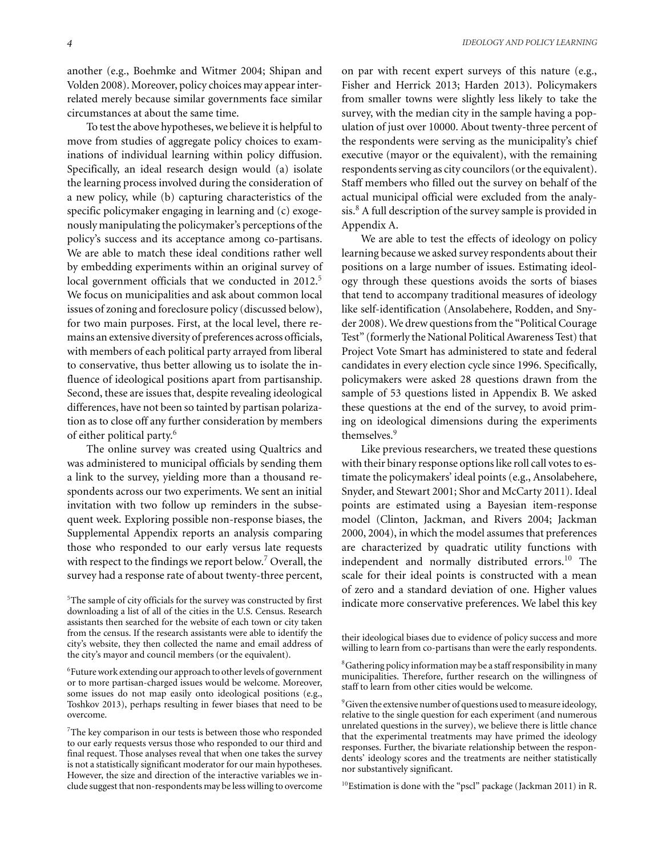another (e.g., Boehmke and Witmer 2004; Shipan and Volden 2008). Moreover, policy choices may appear interrelated merely because similar governments face similar circumstances at about the same time.

To test the above hypotheses, we believe it is helpful to move from studies of aggregate policy choices to examinations of individual learning within policy diffusion. Specifically, an ideal research design would (a) isolate the learning process involved during the consideration of a new policy, while (b) capturing characteristics of the specific policymaker engaging in learning and (c) exogenously manipulating the policymaker's perceptions of the policy's success and its acceptance among co-partisans. We are able to match these ideal conditions rather well by embedding experiments within an original survey of local government officials that we conducted in 2012.<sup>5</sup> We focus on municipalities and ask about common local issues of zoning and foreclosure policy (discussed below), for two main purposes. First, at the local level, there remains an extensive diversity of preferences across officials, with members of each political party arrayed from liberal to conservative, thus better allowing us to isolate the influence of ideological positions apart from partisanship. Second, these are issues that, despite revealing ideological differences, have not been so tainted by partisan polarization as to close off any further consideration by members of either political party.<sup>6</sup>

The online survey was created using Qualtrics and was administered to municipal officials by sending them a link to the survey, yielding more than a thousand respondents across our two experiments. We sent an initial invitation with two follow up reminders in the subsequent week. Exploring possible non-response biases, the Supplemental Appendix reports an analysis comparing those who responded to our early versus late requests with respect to the findings we report below.<sup>7</sup> Overall, the survey had a response rate of about twenty-three percent,

on par with recent expert surveys of this nature (e.g., Fisher and Herrick 2013; Harden 2013). Policymakers from smaller towns were slightly less likely to take the survey, with the median city in the sample having a population of just over 10000. About twenty-three percent of the respondents were serving as the municipality's chief executive (mayor or the equivalent), with the remaining respondents serving as city councilors (or the equivalent). Staff members who filled out the survey on behalf of the actual municipal official were excluded from the analysis.<sup>8</sup> A full description of the survey sample is provided in Appendix A.

We are able to test the effects of ideology on policy learning because we asked survey respondents about their positions on a large number of issues. Estimating ideology through these questions avoids the sorts of biases that tend to accompany traditional measures of ideology like self-identification (Ansolabehere, Rodden, and Snyder 2008). We drew questions from the "Political Courage Test" (formerly the National Political Awareness Test) that Project Vote Smart has administered to state and federal candidates in every election cycle since 1996. Specifically, policymakers were asked 28 questions drawn from the sample of 53 questions listed in Appendix B. We asked these questions at the end of the survey, to avoid priming on ideological dimensions during the experiments themselves.9

Like previous researchers, we treated these questions with their binary response options like roll call votes to estimate the policymakers' ideal points (e.g., Ansolabehere, Snyder, and Stewart 2001; Shor and McCarty 2011). Ideal points are estimated using a Bayesian item-response model (Clinton, Jackman, and Rivers 2004; Jackman 2000, 2004), in which the model assumes that preferences are characterized by quadratic utility functions with independent and normally distributed errors.<sup>10</sup> The scale for their ideal points is constructed with a mean of zero and a standard deviation of one. Higher values indicate more conservative preferences. We label this key

their ideological biases due to evidence of policy success and more willing to learn from co-partisans than were the early respondents.

<sup>10</sup>Estimation is done with the "pscl" package (Jackman 2011) in R.

<sup>&</sup>lt;sup>5</sup>The sample of city officials for the survey was constructed by first downloading a list of all of the cities in the U.S. Census. Research assistants then searched for the website of each town or city taken from the census. If the research assistants were able to identify the city's website, they then collected the name and email address of the city's mayor and council members (or the equivalent).

<sup>6</sup>Future work extending our approach to other levels of government or to more partisan-charged issues would be welcome. Moreover, some issues do not map easily onto ideological positions (e.g., Toshkov 2013), perhaps resulting in fewer biases that need to be overcome.

<sup>&</sup>lt;sup>7</sup>The key comparison in our tests is between those who responded to our early requests versus those who responded to our third and final request. Those analyses reveal that when one takes the survey is not a statistically significant moderator for our main hypotheses. However, the size and direction of the interactive variables we include suggest that non-respondents may be less willing to overcome

<sup>8</sup>Gathering policy information may be a staff responsibility in many municipalities. Therefore, further research on the willingness of staff to learn from other cities would be welcome.

<sup>&</sup>lt;sup>9</sup>Given the extensive number of questions used to measure ideology, relative to the single question for each experiment (and numerous unrelated questions in the survey), we believe there is little chance that the experimental treatments may have primed the ideology responses. Further, the bivariate relationship between the respondents' ideology scores and the treatments are neither statistically nor substantively significant.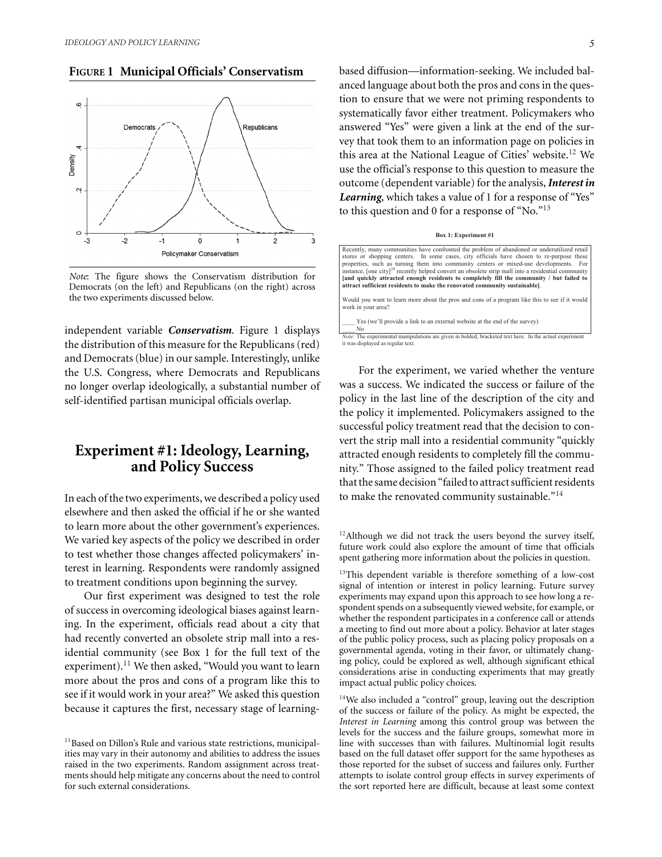**FIGURE 1 Municipal Officials' Conservatism**





independent variable *Conservatism*. Figure 1 displays the distribution of this measure for the Republicans (red) and Democrats (blue) in our sample. Interestingly, unlike the U.S. Congress, where Democrats and Republicans no longer overlap ideologically, a substantial number of self-identified partisan municipal officials overlap.

### **Experiment #1: Ideology, Learning, and Policy Success**

In each of the two experiments, we described a policy used elsewhere and then asked the official if he or she wanted to learn more about the other government's experiences. We varied key aspects of the policy we described in order to test whether those changes affected policymakers' interest in learning. Respondents were randomly assigned to treatment conditions upon beginning the survey.

Our first experiment was designed to test the role of success in overcoming ideological biases against learning. In the experiment, officials read about a city that had recently converted an obsolete strip mall into a residential community (see Box 1 for the full text of the experiment).<sup>11</sup> We then asked, "Would you want to learn more about the pros and cons of a program like this to see if it would work in your area?" We asked this question because it captures the first, necessary stage of learning-

based diffusion—information-seeking. We included balanced language about both the pros and cons in the question to ensure that we were not priming respondents to systematically favor either treatment. Policymakers who answered "Yes" were given a link at the end of the survey that took them to an information page on policies in this area at the National League of Cities' website.<sup>12</sup> We use the official's response to this question to measure the outcome (dependent variable) for the analysis,*Interest in* Learning, which takes a value of 1 for a response of "Yes" to this question and 0 for a response of "No." $13$ 

#### **Box 1: Experiment #1**

| Recently, many communities have confronted the problem of abandoned or underutilized retail<br>stores or shopping centers. In some cases, city officials have chosen to re-purpose these<br>properties, such as turning them into community centers or mixed-use developments. For<br>instance, [one city] <sup>28</sup> recently helped convert an obsolete strip mall into a residential community<br>[and quickly attracted enough residents to completely fill the community / but failed to<br>attract sufficient residents to make the renovated community sustainablel. |  |  |  |  |  |
|--------------------------------------------------------------------------------------------------------------------------------------------------------------------------------------------------------------------------------------------------------------------------------------------------------------------------------------------------------------------------------------------------------------------------------------------------------------------------------------------------------------------------------------------------------------------------------|--|--|--|--|--|
| Would you want to learn more about the pros and cons of a program like this to see if it would<br>work in your area?                                                                                                                                                                                                                                                                                                                                                                                                                                                           |  |  |  |  |  |
| Yes (we'll provide a link to an external website at the end of the survey)<br>No                                                                                                                                                                                                                                                                                                                                                                                                                                                                                               |  |  |  |  |  |
| Note: The experimental manipulations are given in bolded, bracketed text here. In the actual experiment<br>it was displayed as regular text.                                                                                                                                                                                                                                                                                                                                                                                                                                   |  |  |  |  |  |

For the experiment, we varied whether the venture was a success. We indicated the success or failure of the policy in the last line of the description of the city and the policy it implemented. Policymakers assigned to the successful policy treatment read that the decision to convert the strip mall into a residential community "quickly attracted enough residents to completely fill the community." Those assigned to the failed policy treatment read that the same decision "failed to attract sufficient residents to make the renovated community sustainable."<sup>14</sup>

<sup>12</sup> Although we did not track the users beyond the survey itself, future work could also explore the amount of time that officials spent gathering more information about the policies in question.

<sup>13</sup>This dependent variable is therefore something of a low-cost signal of intention or interest in policy learning. Future survey experiments may expand upon this approach to see how long a respondent spends on a subsequently viewed website, for example, or whether the respondent participates in a conference call or attends a meeting to find out more about a policy. Behavior at later stages of the public policy process, such as placing policy proposals on a governmental agenda, voting in their favor, or ultimately changing policy, could be explored as well, although significant ethical considerations arise in conducting experiments that may greatly impact actual public policy choices.

 $14$ We also included a "control" group, leaving out the description of the success or failure of the policy. As might be expected, the *Interest in Learning* among this control group was between the levels for the success and the failure groups, somewhat more in line with successes than with failures. Multinomial logit results based on the full dataset offer support for the same hypotheses as those reported for the subset of success and failures only. Further attempts to isolate control group effects in survey experiments of the sort reported here are difficult, because at least some context

<sup>&</sup>lt;sup>11</sup>Based on Dillon's Rule and various state restrictions, municipalities may vary in their autonomy and abilities to address the issues raised in the two experiments. Random assignment across treatments should help mitigate any concerns about the need to control for such external considerations.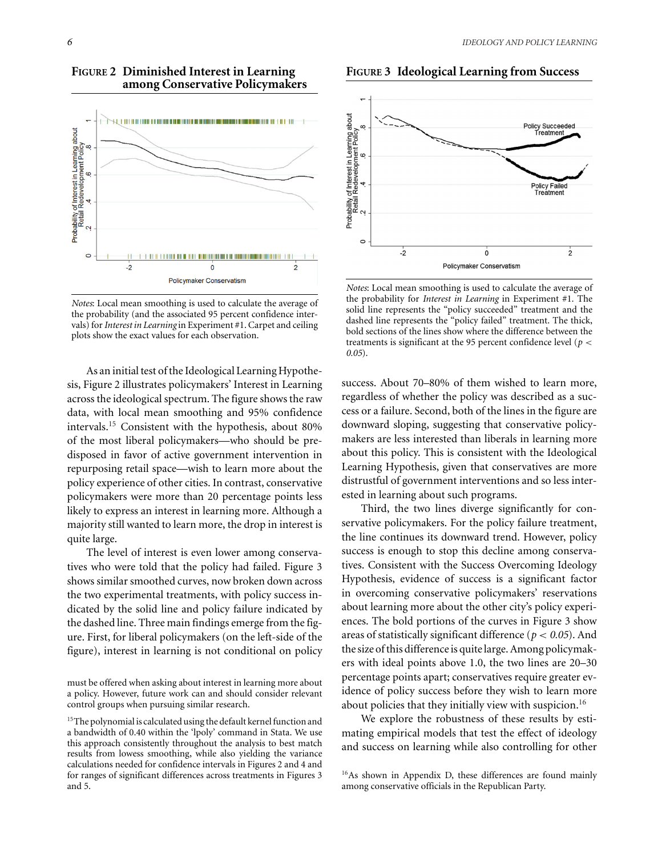#### **FIGURE 2 Diminished Interest in Learning among Conservative Policymakers**



*Notes*: Local mean smoothing is used to calculate the average of the probability (and the associated 95 percent confidence intervals) for*Interest in Learning* in Experiment #1. Carpet and ceiling plots show the exact values for each observation.

As an initial test of the Ideological Learning Hypothesis, Figure 2 illustrates policymakers' Interest in Learning across the ideological spectrum. The figure shows the raw data, with local mean smoothing and 95% confidence intervals.15 Consistent with the hypothesis, about 80% of the most liberal policymakers—who should be predisposed in favor of active government intervention in repurposing retail space—wish to learn more about the policy experience of other cities. In contrast, conservative policymakers were more than 20 percentage points less likely to express an interest in learning more. Although a majority still wanted to learn more, the drop in interest is quite large.

The level of interest is even lower among conservatives who were told that the policy had failed. Figure 3 shows similar smoothed curves, now broken down across the two experimental treatments, with policy success indicated by the solid line and policy failure indicated by the dashed line. Three main findings emerge from the figure. First, for liberal policymakers (on the left-side of the figure), interest in learning is not conditional on policy

#### **FIGURE 3 Ideological Learning from Success**



*Notes*: Local mean smoothing is used to calculate the average of the probability for *Interest in Learning* in Experiment #1. The solid line represents the "policy succeeded" treatment and the dashed line represents the "policy failed" treatment. The thick, bold sections of the lines show where the difference between the treatments is significant at the 95 percent confidence level (*p < 0.05*).

success. About 70–80% of them wished to learn more, regardless of whether the policy was described as a success or a failure. Second, both of the lines in the figure are downward sloping, suggesting that conservative policymakers are less interested than liberals in learning more about this policy. This is consistent with the Ideological Learning Hypothesis, given that conservatives are more distrustful of government interventions and so less interested in learning about such programs.

Third, the two lines diverge significantly for conservative policymakers. For the policy failure treatment, the line continues its downward trend. However, policy success is enough to stop this decline among conservatives. Consistent with the Success Overcoming Ideology Hypothesis, evidence of success is a significant factor in overcoming conservative policymakers' reservations about learning more about the other city's policy experiences. The bold portions of the curves in Figure 3 show areas of statistically significant difference (*p < 0.05*). And the size of this difference is quite large. Among policymakers with ideal points above 1.0, the two lines are 20–30 percentage points apart; conservatives require greater evidence of policy success before they wish to learn more about policies that they initially view with suspicion.<sup>16</sup>

We explore the robustness of these results by estimating empirical models that test the effect of ideology and success on learning while also controlling for other

must be offered when asking about interest in learning more about a policy. However, future work can and should consider relevant control groups when pursuing similar research.

<sup>&</sup>lt;sup>15</sup>The polynomial is calculated using the default kernel function and a bandwidth of 0.40 within the 'lpoly' command in Stata. We use this approach consistently throughout the analysis to best match results from lowess smoothing, while also yielding the variance calculations needed for confidence intervals in Figures 2 and 4 and for ranges of significant differences across treatments in Figures 3 and 5.

<sup>&</sup>lt;sup>16</sup>As shown in Appendix D, these differences are found mainly among conservative officials in the Republican Party.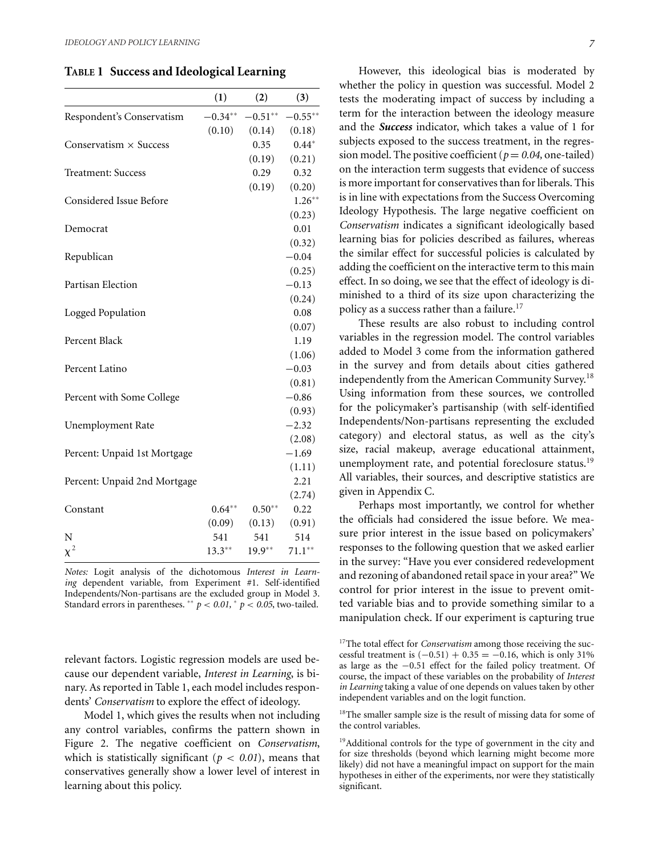**TABLE 1 Success and Ideological Learning**

|                               | (1)       | (2)       | (3)       |
|-------------------------------|-----------|-----------|-----------|
| Respondent's Conservatism     | $-0.34**$ | $-0.51**$ | $-0.55**$ |
|                               | (0.10)    | (0.14)    | (0.18)    |
| Conservatism $\times$ Success |           | 0.35      | $0.44*$   |
|                               |           | (0.19)    | (0.21)    |
| Treatment: Success            |           | 0.29      | 0.32      |
|                               |           | (0.19)    | (0.20)    |
| Considered Issue Before       |           |           | $1.26***$ |
|                               |           |           | (0.23)    |
| Democrat                      |           |           | 0.01      |
|                               |           |           | (0.32)    |
| Republican                    |           |           | $-0.04$   |
|                               |           |           | (0.25)    |
| Partisan Election             |           |           | $-0.13$   |
|                               |           |           | (0.24)    |
| Logged Population             |           |           | 0.08      |
|                               |           |           | (0.07)    |
| Percent Black                 |           |           | 1.19      |
|                               |           |           | (1.06)    |
| Percent Latino                |           |           | $-0.03$   |
|                               |           |           | (0.81)    |
| Percent with Some College     |           |           | $-0.86$   |
|                               |           |           | (0.93)    |
| Unemployment Rate             |           |           | $-2.32$   |
|                               |           |           | (2.08)    |
| Percent: Unpaid 1st Mortgage  |           |           | $-1.69$   |
|                               |           |           | (1.11)    |
| Percent: Unpaid 2nd Mortgage  |           |           | 2.21      |
|                               |           |           | (2.74)    |
| Constant                      | $0.64***$ | $0.50**$  | 0.22      |
|                               | (0.09)    | (0.13)    | (0.91)    |
| N                             | 541       | 541       | 514       |
| $\chi^2$                      | $13.3**$  | $19.9**$  | $71.1***$ |

*Notes:* Logit analysis of the dichotomous *Interest in Learning* dependent variable, from Experiment #1. Self-identified Independents/Non-partisans are the excluded group in Model 3. Standard errors in parentheses. \*\*  $p < 0.01$ , \*  $p < 0.05$ , two-tailed.

relevant factors. Logistic regression models are used because our dependent variable, *Interest in Learning*, is binary. As reported in Table 1, each model includes respondents' *Conservatism* to explore the effect of ideology.

Model 1, which gives the results when not including any control variables, confirms the pattern shown in Figure 2. The negative coefficient on *Conservatism*, which is statistically significant ( $p < 0.01$ ), means that conservatives generally show a lower level of interest in learning about this policy.

However, this ideological bias is moderated by whether the policy in question was successful. Model 2 tests the moderating impact of success by including a term for the interaction between the ideology measure and the *Success* indicator, which takes a value of 1 for subjects exposed to the success treatment, in the regression model. The positive coefficient ( $p = 0.04$ , one-tailed) on the interaction term suggests that evidence of success is more important for conservatives than for liberals. This is in line with expectations from the Success Overcoming Ideology Hypothesis. The large negative coefficient on *Conservatism* indicates a significant ideologically based learning bias for policies described as failures, whereas the similar effect for successful policies is calculated by adding the coefficient on the interactive term to this main effect. In so doing, we see that the effect of ideology is diminished to a third of its size upon characterizing the policy as a success rather than a failure.<sup>17</sup>

These results are also robust to including control variables in the regression model. The control variables added to Model 3 come from the information gathered in the survey and from details about cities gathered independently from the American Community Survey.<sup>18</sup> Using information from these sources, we controlled for the policymaker's partisanship (with self-identified Independents/Non-partisans representing the excluded category) and electoral status, as well as the city's size, racial makeup, average educational attainment, unemployment rate, and potential foreclosure status.<sup>19</sup> All variables, their sources, and descriptive statistics are given in Appendix C.

Perhaps most importantly, we control for whether the officials had considered the issue before. We measure prior interest in the issue based on policymakers' responses to the following question that we asked earlier in the survey: "Have you ever considered redevelopment and rezoning of abandoned retail space in your area?" We control for prior interest in the issue to prevent omitted variable bias and to provide something similar to a manipulation check. If our experiment is capturing true

<sup>17</sup>The total effect for *Conservatism* among those receiving the successful treatment is  $(-0.51) + 0.35 = -0.16$ , which is only 31% as large as the −0.51 effect for the failed policy treatment. Of course, the impact of these variables on the probability of *Interest in Learning* taking a value of one depends on values taken by other independent variables and on the logit function.

<sup>18</sup>The smaller sample size is the result of missing data for some of the control variables.

<sup>19</sup>Additional controls for the type of government in the city and for size thresholds (beyond which learning might become more likely) did not have a meaningful impact on support for the main hypotheses in either of the experiments, nor were they statistically significant.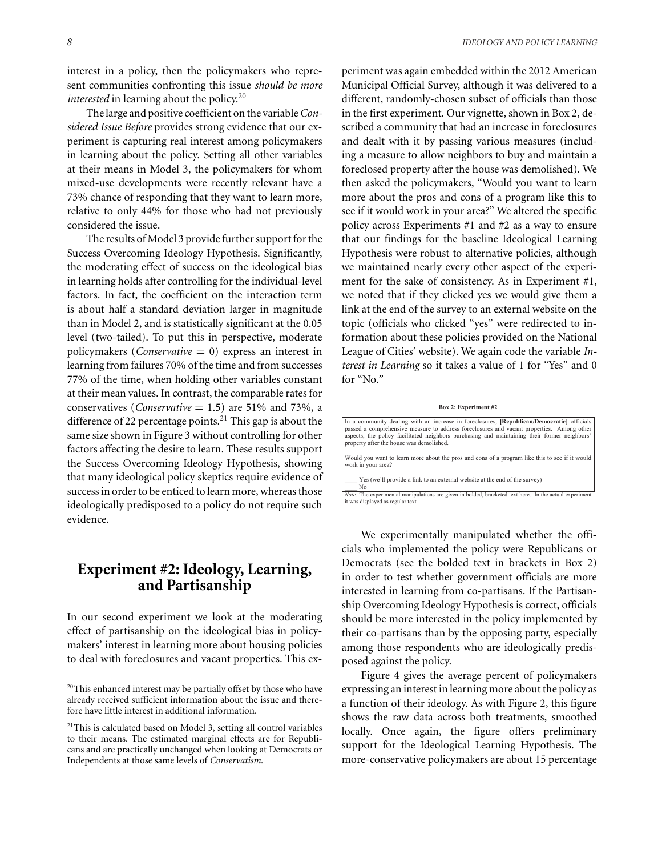interest in a policy, then the policymakers who represent communities confronting this issue *should be more interested* in learning about the policy.<sup>20</sup>

The large and positive coefficient on the variable*Considered Issue Before* provides strong evidence that our experiment is capturing real interest among policymakers in learning about the policy. Setting all other variables at their means in Model 3, the policymakers for whom mixed-use developments were recently relevant have a 73% chance of responding that they want to learn more, relative to only 44% for those who had not previously considered the issue.

The results of Model 3 provide further support for the Success Overcoming Ideology Hypothesis. Significantly, the moderating effect of success on the ideological bias in learning holds after controlling for the individual-level factors. In fact, the coefficient on the interaction term is about half a standard deviation larger in magnitude than in Model 2, and is statistically significant at the 0.05 level (two-tailed). To put this in perspective, moderate policymakers (*Conservative* = 0) express an interest in learning from failures 70% of the time and from successes 77% of the time, when holding other variables constant at their mean values. In contrast, the comparable rates for conservatives (*Conservative* = 1.5) are 51% and 73%, a difference of 22 percentage points.<sup>21</sup> This gap is about the same size shown in Figure 3 without controlling for other factors affecting the desire to learn. These results support the Success Overcoming Ideology Hypothesis, showing that many ideological policy skeptics require evidence of success in order to be enticed to learn more, whereas those ideologically predisposed to a policy do not require such evidence.

### **Experiment #2: Ideology, Learning, and Partisanship**

In our second experiment we look at the moderating effect of partisanship on the ideological bias in policymakers' interest in learning more about housing policies to deal with foreclosures and vacant properties. This experiment was again embedded within the 2012 American Municipal Official Survey, although it was delivered to a different, randomly-chosen subset of officials than those in the first experiment. Our vignette, shown in Box 2, described a community that had an increase in foreclosures and dealt with it by passing various measures (including a measure to allow neighbors to buy and maintain a foreclosed property after the house was demolished). We then asked the policymakers, "Would you want to learn more about the pros and cons of a program like this to see if it would work in your area?" We altered the specific policy across Experiments #1 and #2 as a way to ensure that our findings for the baseline Ideological Learning Hypothesis were robust to alternative policies, although we maintained nearly every other aspect of the experiment for the sake of consistency. As in Experiment #1, we noted that if they clicked yes we would give them a link at the end of the survey to an external website on the topic (officials who clicked "yes" were redirected to information about these policies provided on the National League of Cities' website). We again code the variable *Interest in Learning* so it takes a value of 1 for "Yes" and 0 for "No."

#### **Box 2: Experiment #2**

| In a community dealing with an increase in foreclosures, [Republican/Democratic] officials<br>passed a comprehensive measure to address foreclosures and vacant properties. Among other<br>aspects, the policy facilitated neighbors purchasing and maintaining their former neighbors'<br>property after the house was demolished. |
|-------------------------------------------------------------------------------------------------------------------------------------------------------------------------------------------------------------------------------------------------------------------------------------------------------------------------------------|
| Would you want to learn more about the pros and cons of a program like this to see if it would<br>work in your area?                                                                                                                                                                                                                |
| Yes (we'll provide a link to an external website at the end of the survey)<br>No                                                                                                                                                                                                                                                    |
| Note: The experimental manipulations are given in bolded, bracketed text here. In the actual experiment<br>it was displayed as regular text.                                                                                                                                                                                        |

We experimentally manipulated whether the officials who implemented the policy were Republicans or Democrats (see the bolded text in brackets in Box 2) in order to test whether government officials are more interested in learning from co-partisans. If the Partisanship Overcoming Ideology Hypothesis is correct, officials should be more interested in the policy implemented by their co-partisans than by the opposing party, especially among those respondents who are ideologically predisposed against the policy.

Figure 4 gives the average percent of policymakers expressing an interest in learning more about the policy as a function of their ideology. As with Figure 2, this figure shows the raw data across both treatments, smoothed locally. Once again, the figure offers preliminary support for the Ideological Learning Hypothesis. The more-conservative policymakers are about 15 percentage

<sup>&</sup>lt;sup>20</sup>This enhanced interest may be partially offset by those who have already received sufficient information about the issue and therefore have little interest in additional information.

 $21$ This is calculated based on Model 3, setting all control variables to their means. The estimated marginal effects are for Republicans and are practically unchanged when looking at Democrats or Independents at those same levels of *Conservatism*.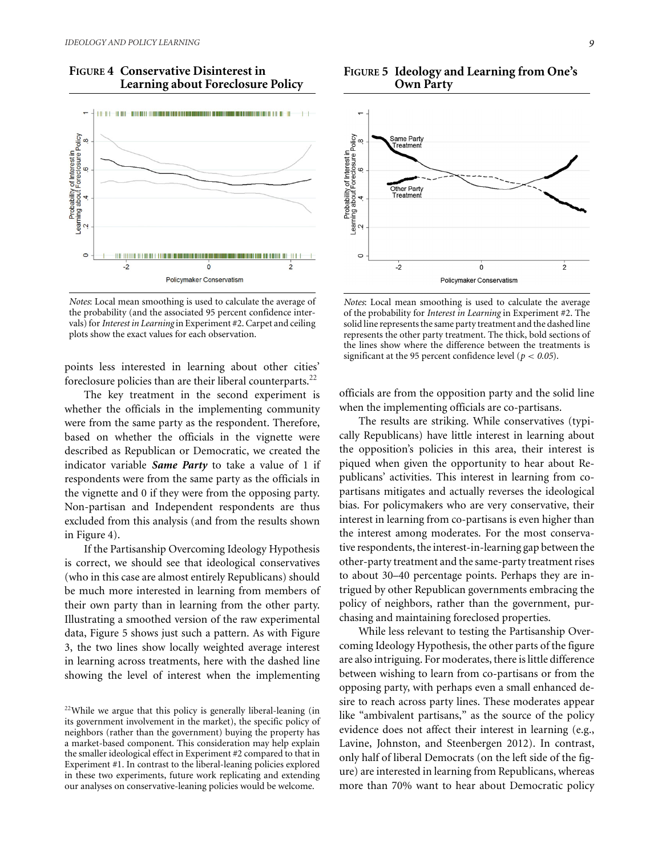

#### **FIGURE 4 Conservative Disinterest in Learning about Foreclosure Policy**

*Notes*: Local mean smoothing is used to calculate the average of the probability (and the associated 95 percent confidence intervals) for*Interest in Learning* in Experiment #2. Carpet and ceiling plots show the exact values for each observation.

points less interested in learning about other cities' foreclosure policies than are their liberal counterparts.<sup>22</sup>

The key treatment in the second experiment is whether the officials in the implementing community were from the same party as the respondent. Therefore, based on whether the officials in the vignette were described as Republican or Democratic, we created the indicator variable *Same Party* to take a value of 1 if respondents were from the same party as the officials in the vignette and 0 if they were from the opposing party. Non-partisan and Independent respondents are thus excluded from this analysis (and from the results shown in Figure 4).

If the Partisanship Overcoming Ideology Hypothesis is correct, we should see that ideological conservatives (who in this case are almost entirely Republicans) should be much more interested in learning from members of their own party than in learning from the other party. Illustrating a smoothed version of the raw experimental data, Figure 5 shows just such a pattern. As with Figure 3, the two lines show locally weighted average interest in learning across treatments, here with the dashed line showing the level of interest when the implementing

**FIGURE 5 Ideology and Learning from One's Own Party**



*Notes*: Local mean smoothing is used to calculate the average of the probability for *Interest in Learning* in Experiment #2. The solid line represents the same party treatment and the dashed line represents the other party treatment. The thick, bold sections of the lines show where the difference between the treatments is significant at the 95 percent confidence level ( $p < 0.05$ ).

officials are from the opposition party and the solid line when the implementing officials are co-partisans.

The results are striking. While conservatives (typically Republicans) have little interest in learning about the opposition's policies in this area, their interest is piqued when given the opportunity to hear about Republicans' activities. This interest in learning from copartisans mitigates and actually reverses the ideological bias. For policymakers who are very conservative, their interest in learning from co-partisans is even higher than the interest among moderates. For the most conservative respondents, the interest-in-learning gap between the other-party treatment and the same-party treatment rises to about 30–40 percentage points. Perhaps they are intrigued by other Republican governments embracing the policy of neighbors, rather than the government, purchasing and maintaining foreclosed properties.

While less relevant to testing the Partisanship Overcoming Ideology Hypothesis, the other parts of the figure are also intriguing. For moderates, there is little difference between wishing to learn from co-partisans or from the opposing party, with perhaps even a small enhanced desire to reach across party lines. These moderates appear like "ambivalent partisans," as the source of the policy evidence does not affect their interest in learning (e.g., Lavine, Johnston, and Steenbergen 2012). In contrast, only half of liberal Democrats (on the left side of the figure) are interested in learning from Republicans, whereas more than 70% want to hear about Democratic policy

 $22$ While we argue that this policy is generally liberal-leaning (in its government involvement in the market), the specific policy of neighbors (rather than the government) buying the property has a market-based component. This consideration may help explain the smaller ideological effect in Experiment #2 compared to that in Experiment #1. In contrast to the liberal-leaning policies explored in these two experiments, future work replicating and extending our analyses on conservative-leaning policies would be welcome.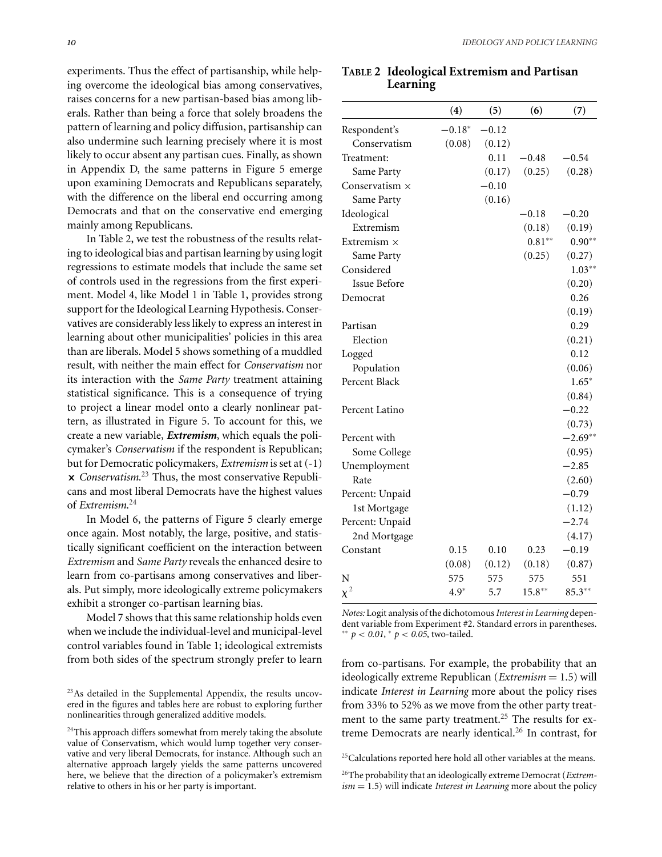experiments. Thus the effect of partisanship, while helping overcome the ideological bias among conservatives, raises concerns for a new partisan-based bias among liberals. Rather than being a force that solely broadens the pattern of learning and policy diffusion, partisanship can also undermine such learning precisely where it is most likely to occur absent any partisan cues. Finally, as shown in Appendix D, the same patterns in Figure 5 emerge upon examining Democrats and Republicans separately, with the difference on the liberal end occurring among Democrats and that on the conservative end emerging mainly among Republicans.

In Table 2, we test the robustness of the results relating to ideological bias and partisan learning by using logit regressions to estimate models that include the same set of controls used in the regressions from the first experiment. Model 4, like Model 1 in Table 1, provides strong support for the Ideological Learning Hypothesis. Conservatives are considerably less likely to express an interest in learning about other municipalities' policies in this area than are liberals. Model 5 shows something of a muddled result, with neither the main effect for *Conservatism* nor its interaction with the *Same Party* treatment attaining statistical significance. This is a consequence of trying to project a linear model onto a clearly nonlinear pattern, as illustrated in Figure 5. To account for this, we create a new variable, *Extremism*, which equals the policymaker's *Conservatism* if the respondent is Republican; but for Democratic policymakers, *Extremism* is set at (-1) **×** *Conservatism*. <sup>23</sup> Thus, the most conservative Republicans and most liberal Democrats have the highest values of *Extremism*. 24

In Model 6, the patterns of Figure 5 clearly emerge once again. Most notably, the large, positive, and statistically significant coefficient on the interaction between *Extremism* and *Same Party* reveals the enhanced desire to learn from co-partisans among conservatives and liberals. Put simply, more ideologically extreme policymakers exhibit a stronger co-partisan learning bias.

Model 7 shows that this same relationship holds even when we include the individual-level and municipal-level control variables found in Table 1; ideological extremists from both sides of the spectrum strongly prefer to learn

## *10 IDEOLOGY AND POLICY LEARNING*

|                     | (4)      | (5)     | (6)       | (7)       |
|---------------------|----------|---------|-----------|-----------|
| Respondent's        | $-0.18*$ | $-0.12$ |           |           |
| Conservatism        | (0.08)   | (0.12)  |           |           |
| Treatment:          |          | 0.11    | $-0.48$   | $-0.54$   |
| Same Party          |          | (0.17)  | (0.25)    | (0.28)    |
| Conservatism ×      |          | $-0.10$ |           |           |
| Same Party          |          | (0.16)  |           |           |
| Ideological         |          |         | $-0.18$   | $-0.20$   |
| Extremism           |          |         | (0.18)    | (0.19)    |
| Extremism ×         |          |         | $0.81**$  | $0.90**$  |
| Same Party          |          |         | (0.25)    | (0.27)    |
| Considered          |          |         |           | $1.03***$ |
| <b>Issue Before</b> |          |         |           | (0.20)    |
| Democrat            |          |         |           | 0.26      |
|                     |          |         |           | (0.19)    |
| Partisan            |          |         |           | 0.29      |
| Election            |          |         |           | (0.21)    |
| Logged              |          |         |           | 0.12      |
| Population          |          |         |           | (0.06)    |
| Percent Black       |          |         |           | $1.65*$   |
|                     |          |         |           | (0.84)    |
| Percent Latino      |          |         |           | $-0.22$   |
|                     |          |         |           | (0.73)    |
| Percent with        |          |         |           | $-2.69**$ |
| Some College        |          |         |           | (0.95)    |
| Unemployment        |          |         |           | $-2.85$   |
| Rate                |          |         |           | (2.60)    |
| Percent: Unpaid     |          |         |           | $-0.79$   |
| 1st Mortgage        |          |         |           | (1.12)    |
| Percent: Unpaid     |          |         |           | $-2.74$   |
| 2nd Mortgage        |          |         |           | (4.17)    |
| Constant            | 0.15     | 0.10    | 0.23      | $-0.19$   |
|                     | (0.08)   | (0.12)  | (0.18)    | (0.87)    |
| N                   | 575      | 575     | 575       | 551       |
| $\chi^2$            | $4.9*$   | 5.7     | $15.8***$ | $85.3***$ |

**TABLE 2 Ideological Extremism and Partisan Learning**

*Notes:* Logit analysis of the dichotomous*Interest in Learning* dependent variable from Experiment #2. Standard errors in parentheses. ∗∗ *p < 0.01*, <sup>∗</sup> *p < 0.05*, two-tailed.

from co-partisans. For example, the probability that an ideologically extreme Republican (*Extremism* = 1.5) will indicate *Interest in Learning* more about the policy rises from 33% to 52% as we move from the other party treatment to the same party treatment.<sup>25</sup> The results for extreme Democrats are nearly identical.<sup>26</sup> In contrast, for

<sup>25</sup> Calculations reported here hold all other variables at the means.

26The probability that an ideologically extreme Democrat (*Extremism* = 1.5) will indicate *Interest in Learning* more about the policy

<sup>&</sup>lt;sup>23</sup>As detailed in the Supplemental Appendix, the results uncovered in the figures and tables here are robust to exploring further nonlinearities through generalized additive models.

<sup>&</sup>lt;sup>24</sup>This approach differs somewhat from merely taking the absolute value of Conservatism, which would lump together very conservative and very liberal Democrats, for instance. Although such an alternative approach largely yields the same patterns uncovered here, we believe that the direction of a policymaker's extremism relative to others in his or her party is important.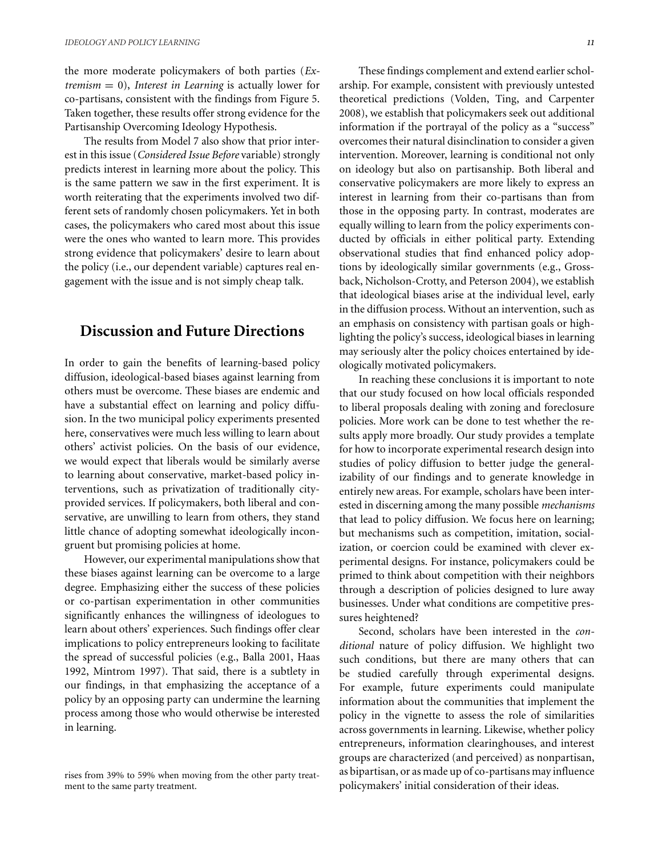the more moderate policymakers of both parties (*Extremism* = 0), *Interest in Learning* is actually lower for co-partisans, consistent with the findings from Figure 5. Taken together, these results offer strong evidence for the Partisanship Overcoming Ideology Hypothesis.

The results from Model 7 also show that prior interest in this issue (*Considered Issue Before* variable) strongly predicts interest in learning more about the policy. This is the same pattern we saw in the first experiment. It is worth reiterating that the experiments involved two different sets of randomly chosen policymakers. Yet in both cases, the policymakers who cared most about this issue were the ones who wanted to learn more. This provides strong evidence that policymakers' desire to learn about the policy (i.e., our dependent variable) captures real engagement with the issue and is not simply cheap talk.

### **Discussion and Future Directions**

In order to gain the benefits of learning-based policy diffusion, ideological-based biases against learning from others must be overcome. These biases are endemic and have a substantial effect on learning and policy diffusion. In the two municipal policy experiments presented here, conservatives were much less willing to learn about others' activist policies. On the basis of our evidence, we would expect that liberals would be similarly averse to learning about conservative, market-based policy interventions, such as privatization of traditionally cityprovided services. If policymakers, both liberal and conservative, are unwilling to learn from others, they stand little chance of adopting somewhat ideologically incongruent but promising policies at home.

However, our experimental manipulations show that these biases against learning can be overcome to a large degree. Emphasizing either the success of these policies or co-partisan experimentation in other communities significantly enhances the willingness of ideologues to learn about others' experiences. Such findings offer clear implications to policy entrepreneurs looking to facilitate the spread of successful policies (e.g., Balla 2001, Haas 1992, Mintrom 1997). That said, there is a subtlety in our findings, in that emphasizing the acceptance of a policy by an opposing party can undermine the learning process among those who would otherwise be interested in learning.

These findings complement and extend earlier scholarship. For example, consistent with previously untested theoretical predictions (Volden, Ting, and Carpenter 2008), we establish that policymakers seek out additional information if the portrayal of the policy as a "success" overcomes their natural disinclination to consider a given intervention. Moreover, learning is conditional not only on ideology but also on partisanship. Both liberal and conservative policymakers are more likely to express an interest in learning from their co-partisans than from those in the opposing party. In contrast, moderates are equally willing to learn from the policy experiments conducted by officials in either political party. Extending observational studies that find enhanced policy adoptions by ideologically similar governments (e.g., Grossback, Nicholson-Crotty, and Peterson 2004), we establish that ideological biases arise at the individual level, early in the diffusion process. Without an intervention, such as an emphasis on consistency with partisan goals or highlighting the policy's success, ideological biases in learning may seriously alter the policy choices entertained by ideologically motivated policymakers.

In reaching these conclusions it is important to note that our study focused on how local officials responded to liberal proposals dealing with zoning and foreclosure policies. More work can be done to test whether the results apply more broadly. Our study provides a template for how to incorporate experimental research design into studies of policy diffusion to better judge the generalizability of our findings and to generate knowledge in entirely new areas. For example, scholars have been interested in discerning among the many possible *mechanisms* that lead to policy diffusion. We focus here on learning; but mechanisms such as competition, imitation, socialization, or coercion could be examined with clever experimental designs. For instance, policymakers could be primed to think about competition with their neighbors through a description of policies designed to lure away businesses. Under what conditions are competitive pressures heightened?

Second, scholars have been interested in the *conditional* nature of policy diffusion. We highlight two such conditions, but there are many others that can be studied carefully through experimental designs. For example, future experiments could manipulate information about the communities that implement the policy in the vignette to assess the role of similarities across governments in learning. Likewise, whether policy entrepreneurs, information clearinghouses, and interest groups are characterized (and perceived) as nonpartisan, as bipartisan, or as made up of co-partisans may influence policymakers' initial consideration of their ideas.

rises from 39% to 59% when moving from the other party treatment to the same party treatment.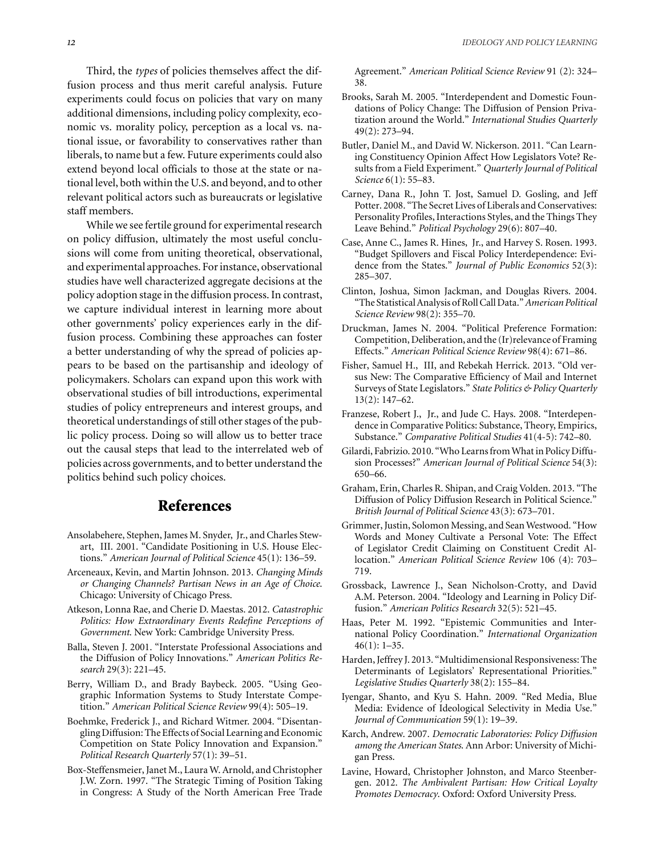Third, the *types* of policies themselves affect the diffusion process and thus merit careful analysis. Future experiments could focus on policies that vary on many additional dimensions, including policy complexity, economic vs. morality policy, perception as a local vs. national issue, or favorability to conservatives rather than liberals, to name but a few. Future experiments could also extend beyond local officials to those at the state or national level, both within the U.S. and beyond, and to other relevant political actors such as bureaucrats or legislative staff members.

While we see fertile ground for experimental research on policy diffusion, ultimately the most useful conclusions will come from uniting theoretical, observational, and experimental approaches. For instance, observational studies have well characterized aggregate decisions at the policy adoption stage in the diffusion process. In contrast, we capture individual interest in learning more about other governments' policy experiences early in the diffusion process. Combining these approaches can foster a better understanding of why the spread of policies appears to be based on the partisanship and ideology of policymakers. Scholars can expand upon this work with observational studies of bill introductions, experimental studies of policy entrepreneurs and interest groups, and theoretical understandings of still other stages of the public policy process. Doing so will allow us to better trace out the causal steps that lead to the interrelated web of policies across governments, and to better understand the politics behind such policy choices.

#### **References**

- Ansolabehere, Stephen, James M. Snyder, Jr., and Charles Stewart, III. 2001. "Candidate Positioning in U.S. House Elections." *American Journal of Political Science* 45(1): 136–59.
- Arceneaux, Kevin, and Martin Johnson. 2013. *Changing Minds or Changing Channels? Partisan News in an Age of Choice*. Chicago: University of Chicago Press.
- Atkeson, Lonna Rae, and Cherie D. Maestas. 2012. *Catastrophic Politics: How Extraordinary Events Redefine Perceptions of Government*. New York: Cambridge University Press.
- Balla, Steven J. 2001. "Interstate Professional Associations and the Diffusion of Policy Innovations." *American Politics Research* 29(3): 221–45.
- Berry, William D., and Brady Baybeck. 2005. "Using Geographic Information Systems to Study Interstate Competition." *American Political Science Review* 99(4): 505–19.
- Boehmke, Frederick J., and Richard Witmer. 2004. "Disentangling Diffusion: The Effects of Social Learning and Economic Competition on State Policy Innovation and Expansion." *Political Research Quarterly* 57(1): 39–51.
- Box-Steffensmeier, Janet M., Laura W. Arnold, and Christopher J.W. Zorn. 1997. "The Strategic Timing of Position Taking in Congress: A Study of the North American Free Trade

Agreement." *American Political Science Review* 91 (2): 324– 38.

- Brooks, Sarah M. 2005. "Interdependent and Domestic Foundations of Policy Change: The Diffusion of Pension Privatization around the World." *International Studies Quarterly* 49(2): 273–94.
- Butler, Daniel M., and David W. Nickerson. 2011. "Can Learning Constituency Opinion Affect How Legislators Vote? Results from a Field Experiment." *Quarterly Journal of Political Science* 6(1): 55–83.
- Carney, Dana R., John T. Jost, Samuel D. Gosling, and Jeff Potter. 2008. "The Secret Lives of Liberals and Conservatives: Personality Profiles, Interactions Styles, and the Things They Leave Behind." *Political Psychology* 29(6): 807–40.
- Case, Anne C., James R. Hines, Jr., and Harvey S. Rosen. 1993. "Budget Spillovers and Fiscal Policy Interdependence: Evidence from the States." *Journal of Public Economics* 52(3): 285–307.
- Clinton, Joshua, Simon Jackman, and Douglas Rivers. 2004. "The Statistical Analysis of RollCall Data."*American Political Science Review* 98(2): 355–70.
- Druckman, James N. 2004. "Political Preference Formation: Competition, Deliberation, and the (Ir)relevance of Framing Effects." *American Political Science Review* 98(4): 671–86.
- Fisher, Samuel H., III, and Rebekah Herrick. 2013. "Old versus New: The Comparative Efficiency of Mail and Internet Surveys of State Legislators." *State Politics & Policy Quarterly* 13(2): 147–62.
- Franzese, Robert J., Jr., and Jude C. Hays. 2008. "Interdependence in Comparative Politics: Substance, Theory, Empirics, Substance." *Comparative Political Studies* 41(4-5): 742–80.
- Gilardi, Fabrizio. 2010. "Who LearnsfromWhat in Policy Diffusion Processes?" *American Journal of Political Science* 54(3): 650–66.
- Graham, Erin, Charles R. Shipan, and Craig Volden. 2013. "The Diffusion of Policy Diffusion Research in Political Science." *British Journal of Political Science* 43(3): 673–701.
- Grimmer, Justin, Solomon Messing, and Sean Westwood. "How Words and Money Cultivate a Personal Vote: The Effect of Legislator Credit Claiming on Constituent Credit Allocation." *American Political Science Review* 106 (4): 703– 719.
- Grossback, Lawrence J., Sean Nicholson-Crotty, and David A.M. Peterson. 2004. "Ideology and Learning in Policy Diffusion." *American Politics Research* 32(5): 521–45.
- Haas, Peter M. 1992. "Epistemic Communities and International Policy Coordination." *International Organization*  $46(1): 1-35.$
- Harden, Jeffrey J. 2013. "Multidimensional Responsiveness: The Determinants of Legislators' Representational Priorities." *Legislative Studies Quarterly* 38(2): 155–84.
- Iyengar, Shanto, and Kyu S. Hahn. 2009. "Red Media, Blue Media: Evidence of Ideological Selectivity in Media Use." *Journal of Communication* 59(1): 19–39.
- Karch, Andrew. 2007. *Democratic Laboratories: Policy Diffusion among the American States*. Ann Arbor: University of Michigan Press.
- Lavine, Howard, Christopher Johnston, and Marco Steenbergen. 2012. *The Ambivalent Partisan: How Critical Loyalty Promotes Democracy*. Oxford: Oxford University Press.